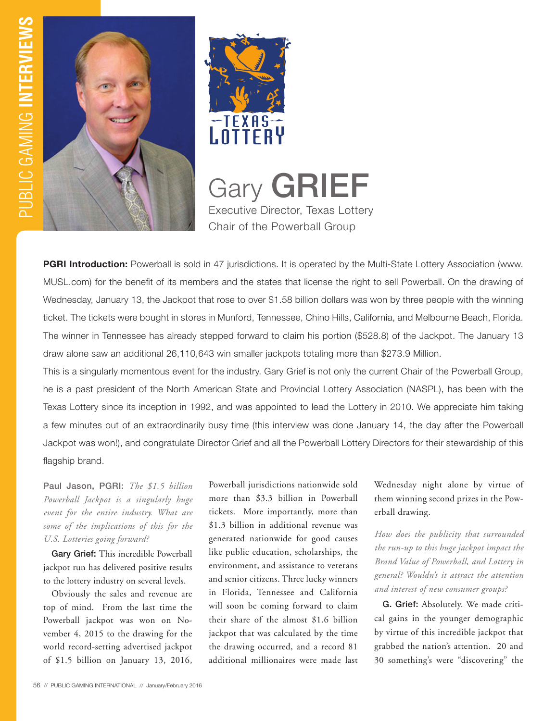



Gary **GRIEF** Executive Director, Texas Lottery Chair of the Powerball Group

**PGRI Introduction:** Powerball is sold in 47 jurisdictions. It is operated by the Multi-State Lottery Association (www. MUSL.com) for the benefit of its members and the states that license the right to sell Powerball. On the drawing of Wednesday, January 13, the Jackpot that rose to over \$1.58 billion dollars was won by three people with the winning ticket. The tickets were bought in stores in Munford, Tennessee, Chino Hills, California, and Melbourne Beach, Florida. The winner in Tennessee has already stepped forward to claim his portion (\$528.8) of the Jackpot. The January 13 draw alone saw an additional 26,110,643 win smaller jackpots totaling more than \$273.9 Million.

This is a singularly momentous event for the industry. Gary Grief is not only the current Chair of the Powerball Group, he is a past president of the North American State and Provincial Lottery Association (NASPL), has been with the Texas Lottery since its inception in 1992, and was appointed to lead the Lottery in 2010. We appreciate him taking a few minutes out of an extraordinarily busy time (this interview was done January 14, the day after the Powerball Jackpot was won!), and congratulate Director Grief and all the Powerball Lottery Directors for their stewardship of this flagship brand.

Paul Jason, PGRI: *The \$1.5 billion Powerball Jackpot is a singularly huge event for the entire industry. What are some of the implications of this for the U.S. Lotteries going forward?* 

Gary Grief: This incredible Powerball jackpot run has delivered positive results to the lottery industry on several levels.

Obviously the sales and revenue are top of mind. From the last time the Powerball jackpot was won on November 4, 2015 to the drawing for the world record-setting advertised jackpot of \$1.5 billion on January 13, 2016,

Powerball jurisdictions nationwide sold more than \$3.3 billion in Powerball tickets. More importantly, more than \$1.3 billion in additional revenue was generated nationwide for good causes like public education, scholarships, the environment, and assistance to veterans and senior citizens. Three lucky winners in Florida, Tennessee and California will soon be coming forward to claim their share of the almost \$1.6 billion jackpot that was calculated by the time the drawing occurred, and a record 81 additional millionaires were made last Wednesday night alone by virtue of them winning second prizes in the Powerball drawing.

*How does the publicity that surrounded the run-up to this huge jackpot impact the Brand Value of Powerball, and Lottery in general? Wouldn't it attract the attention and interest of new consumer groups?* 

G. Grief: Absolutely. We made critical gains in the younger demographic by virtue of this incredible jackpot that grabbed the nation's attention. 20 and 30 something's were "discovering" the